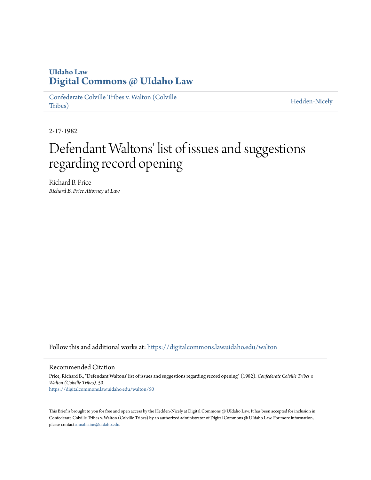## **UIdaho Law [Digital Commons @ UIdaho Law](https://digitalcommons.law.uidaho.edu?utm_source=digitalcommons.law.uidaho.edu%2Fwalton%2F50&utm_medium=PDF&utm_campaign=PDFCoverPages)**

[Confederate Colville Tribes v. Walton \(Colville](https://digitalcommons.law.uidaho.edu/walton?utm_source=digitalcommons.law.uidaho.edu%2Fwalton%2F50&utm_medium=PDF&utm_campaign=PDFCoverPages) [Tribes\)](https://digitalcommons.law.uidaho.edu/walton?utm_source=digitalcommons.law.uidaho.edu%2Fwalton%2F50&utm_medium=PDF&utm_campaign=PDFCoverPages)

[Hedden-Nicely](https://digitalcommons.law.uidaho.edu/hedden-nicely?utm_source=digitalcommons.law.uidaho.edu%2Fwalton%2F50&utm_medium=PDF&utm_campaign=PDFCoverPages)

2-17-1982

## Defendant Waltons' list of issues and suggestions regarding record opening

Richard B. Price *Richard B. Price Attorney at Law*

Follow this and additional works at: [https://digitalcommons.law.uidaho.edu/walton](https://digitalcommons.law.uidaho.edu/walton?utm_source=digitalcommons.law.uidaho.edu%2Fwalton%2F50&utm_medium=PDF&utm_campaign=PDFCoverPages)

## Recommended Citation

Price, Richard B., "Defendant Waltons' list of issues and suggestions regarding record opening" (1982). *Confederate Colville Tribes v. Walton (Colville Tribes)*. 50. [https://digitalcommons.law.uidaho.edu/walton/50](https://digitalcommons.law.uidaho.edu/walton/50?utm_source=digitalcommons.law.uidaho.edu%2Fwalton%2F50&utm_medium=PDF&utm_campaign=PDFCoverPages)

This Brief is brought to you for free and open access by the Hedden-Nicely at Digital Commons @ UIdaho Law. It has been accepted for inclusion in Confederate Colville Tribes v. Walton (Colville Tribes) by an authorized administrator of Digital Commons @ UIdaho Law. For more information, please contact [annablaine@uidaho.edu](mailto:annablaine@uidaho.edu).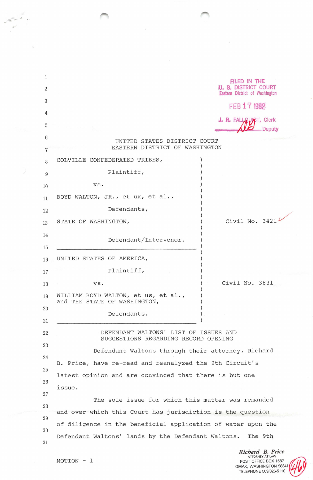| 1              |                                                                                                              | FILED IN THE                                                         |
|----------------|--------------------------------------------------------------------------------------------------------------|----------------------------------------------------------------------|
| $\overline{2}$ |                                                                                                              | <b>U. S. DISTRICT COURT</b><br><b>Eastern District of Washington</b> |
| 3              |                                                                                                              | FEB 17 1982                                                          |
| 4              |                                                                                                              | J. R. FALLOUNGT, Clerk                                               |
| 5              |                                                                                                              |                                                                      |
| 6              | UNITED STATES DISTRICT COURT                                                                                 |                                                                      |
| 7              | EASTERN DISTRICT OF WASHINGTON                                                                               |                                                                      |
| 8              | COLVILLE CONFEDERATED TRIBES,                                                                                |                                                                      |
| 9              | Plaintiff,                                                                                                   |                                                                      |
| 10             | VS.                                                                                                          |                                                                      |
| 11             | BOYD WALTON, JR., et ux, et al.,                                                                             |                                                                      |
| 12             | Defendants,                                                                                                  |                                                                      |
| 13             | STATE OF WASHINGTON,                                                                                         | Civil No. 3421                                                       |
| 14             | Defendant/Intervenor.                                                                                        |                                                                      |
| 15             |                                                                                                              |                                                                      |
| 16             | UNITED STATES OF AMERICA,                                                                                    |                                                                      |
| 17             | Plaintiff,                                                                                                   |                                                                      |
| 18             | VS.                                                                                                          | Civil No. 3831                                                       |
| 19             | WILLIAM BOYD WALTON, et us, et al.,<br>and THE STATE OF WASHINGTON,                                          |                                                                      |
| 20             | Defendants.                                                                                                  |                                                                      |
| 21             |                                                                                                              |                                                                      |
| 22<br>23       | DEFENDANT WALTONS' LIST OF ISSUES AND<br>SUGGESTIONS REGARDING RECORD OPENING                                |                                                                      |
|                | Defendant Waltons through their attorney, Richard<br>B. Price, have re-read and reanalyzed the 9th Circuit's |                                                                      |
| 24             |                                                                                                              |                                                                      |
| 25             | latest opinion and are convinced that there is but one                                                       |                                                                      |
| 26             | issue.                                                                                                       |                                                                      |
| 27             | The sole issue for which this matter was remanded                                                            |                                                                      |
| 28             | and over which this Court has jurisdiction is the question                                                   |                                                                      |
| 29             | of diligence in the beneficial application of water upon the                                                 |                                                                      |
| 30             | Defendant Waltons' lands by the Defendant Waltons.                                                           | The 9th                                                              |
| 31             |                                                                                                              | Richard B. Price<br><b>ATTORNEY AT LAW</b>                           |
|                | MOTION - 1                                                                                                   | POST OFFICE BOX 1687                                                 |

 $\bar{\bar{z}}$ 

 $\overline{\phantom{a}}$ 

OMAK, WASHINGTON 98841 TELEPHONE 509/826-5110

7

 $\overline{\mathcal{R}}$ 

 $\mathbb{S}$ 

J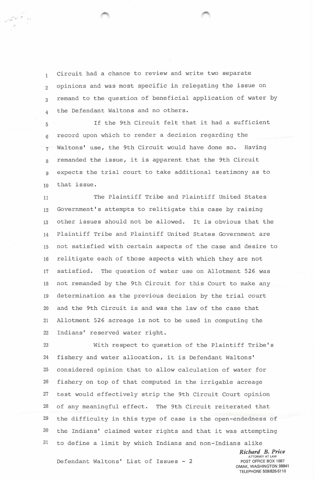<sup>1</sup>Circuit had a chance to review and write two separate 2 opinions and was most specific in relegating the issue on 3 remand to the question of beneficial application of water by 4 the Defendant Waltons and no others.

5 If the 9th Circuit felt that it had a sufficient 6 record upon which to render a decision regarding the 7 Waltons' use, the 9th Circuit would have done so. Having 8 remanded the issue, it is apparent that the 9th Circuit 9 expects the trial court to take additional testimony as to 10 that issue.

11 The Plaintiff Tribe and Plaintiff United States 12 Government's attempts to relitigate this case by raising 13 other issues should not be allowed. It is obvious that the 14 Plaintiff Tribe and Plaintiff United States Government are 15 not satisfied with certain aspects of the case and desire to 16 relitigate each of those aspects with which they are not 17 satisfied. The question of water use on Allotment 526 was 18 not remanded by the 9th Circuit for this Court to make any 19 determination as the previous decision by the trial court 20 and the 9th Circuit is and was the law of the case that 21 Allotment 526 acreage is not to be used in computing the 22 Indians' reserved water right.

23 With respect to question of the Plaintiff Tribe's 24 fishery and water allocation, it is Defendant Waltons' 25 considered opinion that to allow calculation of water for 26 fishery on top of that computed in the irrigable acreage 27 test would effectively strip the 9th Circuit Court opinion 28 of any meaningful effect. The 9th Circuit reiterated that 29 the difficulty in this type of case is the open-endedness of 30 the Indians' claimed water rights and that it was attempting 31 to define a limit by which Indians and non-Indians alike

> *Richard B. Price* ATTORNEY AT LAW POST OFFICE BOX 1687 OMAK, WASHINGTON 98841 TELEPHONE 509/826-5110

Defendant Waltons' List of Issues - 2